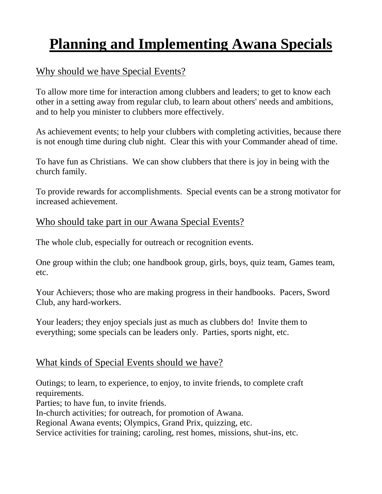# **Planning and Implementing Awana Specials**

## Why should we have Special Events?

To allow more time for interaction among clubbers and leaders; to get to know each other in a setting away from regular club, to learn about others' needs and ambitions, and to help you minister to clubbers more effectively.

As achievement events; to help your clubbers with completing activities, because there is not enough time during club night. Clear this with your Commander ahead of time.

To have fun as Christians. We can show clubbers that there is joy in being with the church family.

To provide rewards for accomplishments. Special events can be a strong motivator for increased achievement.

#### Who should take part in our Awana Special Events?

The whole club, especially for outreach or recognition events.

One group within the club; one handbook group, girls, boys, quiz team, Games team, etc.

Your Achievers; those who are making progress in their handbooks. Pacers, Sword Club, any hard-workers.

Your leaders; they enjoy specials just as much as clubbers do! Invite them to everything; some specials can be leaders only. Parties, sports night, etc.

### What kinds of Special Events should we have?

Outings; to learn, to experience, to enjoy, to invite friends, to complete craft requirements. Parties; to have fun, to invite friends. In-church activities; for outreach, for promotion of Awana. Regional Awana events; Olympics, Grand Prix, quizzing, etc. Service activities for training; caroling, rest homes, missions, shut-ins, etc.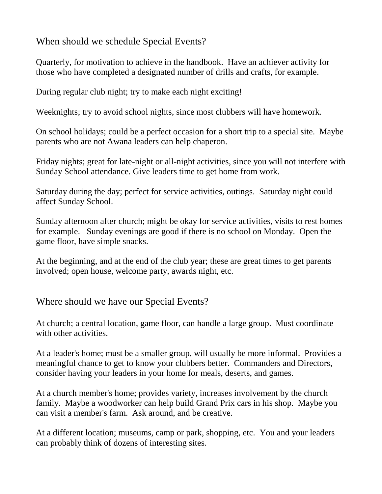### When should we schedule Special Events?

Quarterly, for motivation to achieve in the handbook. Have an achiever activity for those who have completed a designated number of drills and crafts, for example.

During regular club night; try to make each night exciting!

Weeknights; try to avoid school nights, since most clubbers will have homework.

On school holidays; could be a perfect occasion for a short trip to a special site. Maybe parents who are not Awana leaders can help chaperon.

Friday nights; great for late-night or all-night activities, since you will not interfere with Sunday School attendance. Give leaders time to get home from work.

Saturday during the day; perfect for service activities, outings. Saturday night could affect Sunday School.

Sunday afternoon after church; might be okay for service activities, visits to rest homes for example. Sunday evenings are good if there is no school on Monday. Open the game floor, have simple snacks.

At the beginning, and at the end of the club year; these are great times to get parents involved; open house, welcome party, awards night, etc.

### Where should we have our Special Events?

At church; a central location, game floor, can handle a large group. Must coordinate with other activities.

At a leader's home; must be a smaller group, will usually be more informal. Provides a meaningful chance to get to know your clubbers better. Commanders and Directors, consider having your leaders in your home for meals, deserts, and games.

At a church member's home; provides variety, increases involvement by the church family. Maybe a woodworker can help build Grand Prix cars in his shop. Maybe you can visit a member's farm. Ask around, and be creative.

At a different location; museums, camp or park, shopping, etc. You and your leaders can probably think of dozens of interesting sites.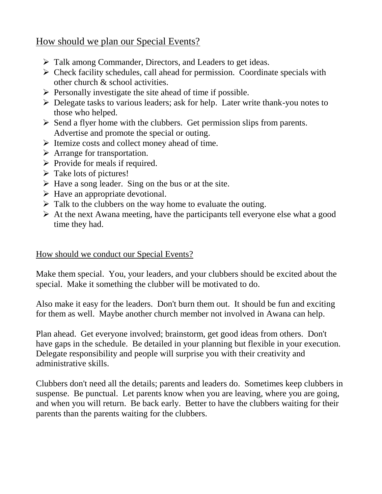#### How should we plan our Special Events?

- $\triangleright$  Talk among Commander, Directors, and Leaders to get ideas.
- $\triangleright$  Check facility schedules, call ahead for permission. Coordinate specials with other church & school activities.
- $\triangleright$  Personally investigate the site ahead of time if possible.
- Delegate tasks to various leaders; ask for help. Later write thank-you notes to those who helped.
- $\triangleright$  Send a flyer home with the clubbers. Get permission slips from parents. Advertise and promote the special or outing.
- $\triangleright$  Itemize costs and collect money ahead of time.
- > Arrange for transportation.
- $\triangleright$  Provide for meals if required.
- $\triangleright$  Take lots of pictures!
- $\triangleright$  Have a song leader. Sing on the bus or at the site.
- $\triangleright$  Have an appropriate devotional.
- $\triangleright$  Talk to the clubbers on the way home to evaluate the outing.
- $\triangleright$  At the next Awana meeting, have the participants tell everyone else what a good time they had.

#### How should we conduct our Special Events?

Make them special. You, your leaders, and your clubbers should be excited about the special. Make it something the clubber will be motivated to do.

Also make it easy for the leaders. Don't burn them out. It should be fun and exciting for them as well. Maybe another church member not involved in Awana can help.

Plan ahead. Get everyone involved; brainstorm, get good ideas from others. Don't have gaps in the schedule. Be detailed in your planning but flexible in your execution. Delegate responsibility and people will surprise you with their creativity and administrative skills.

Clubbers don't need all the details; parents and leaders do. Sometimes keep clubbers in suspense. Be punctual. Let parents know when you are leaving, where you are going, and when you will return. Be back early. Better to have the clubbers waiting for their parents than the parents waiting for the clubbers.